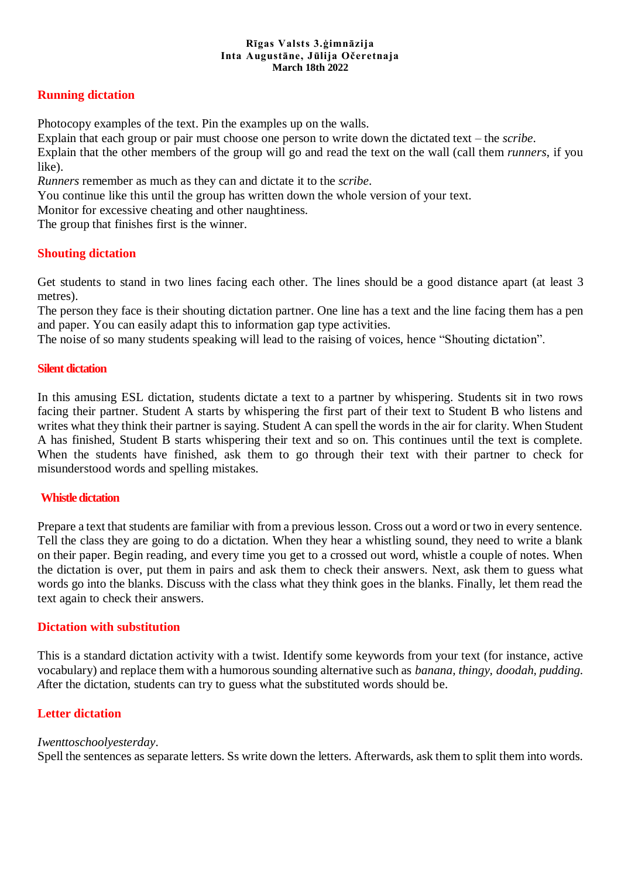#### **Rīgas Valsts 3.ģimnāzija Inta Augustāne, Jūlija Očeretnaja March 18th 2022**

# **Running dictation**

Photocopy examples of the text. Pin the examples up on the walls.

Explain that each group or pair must choose one person to write down the dictated text – the *scribe*.

Explain that the other members of the group will go and read the text on the wall (call them *runners*, if you like).

*Runners* remember as much as they can and dictate it to the *scribe*.

You continue like this until the group has written down the whole version of your text.

Monitor for excessive cheating and other naughtiness.

The group that finishes first is the winner.

# **Shouting dictation**

Get students to stand in two lines facing each other. The lines should be a good distance apart (at least 3 metres).

The person they face is their shouting dictation partner. One line has a text and the line facing them has a pen and paper. You can easily adapt this to information gap type activities.

The noise of so many students speaking will lead to the raising of voices, hence "Shouting dictation".

#### **Silent dictation**

In this amusing ESL dictation, students dictate a text to a partner by whispering. Students sit in two rows facing their partner. Student A starts by whispering the first part of their text to Student B who listens and writes what they think their partner is saying. Student A can spell the words in the air for clarity. When Student A has finished, Student B starts whispering their text and so on. This continues until the text is complete. When the students have finished, ask them to go through their text with their partner to check for misunderstood words and spelling mistakes.

#### **Whistle dictation**

Prepare a text that students are familiar with from a previous lesson. Cross out a word or two in every sentence. Tell the class they are going to do a dictation. When they hear a whistling sound, they need to write a blank on their paper. Begin reading, and every time you get to a crossed out word, whistle a couple of notes. When the dictation is over, put them in pairs and ask them to check their answers. Next, ask them to guess what words go into the blanks. Discuss with the class what they think goes in the blanks. Finally, let them read the text again to check their answers.

#### **Dictation with substitution**

This is a standard dictation activity with a twist. Identify some keywords from your text (for instance, active vocabulary) and replace them with a humorous sounding alternative such as *banana, thingy, doodah, pudding. A*fter the dictation, students can try to guess what the substituted words should be.

#### **Letter dictation**

#### *Iwenttoschoolyesterday*.

Spell the sentences as separate letters. Ss write down the letters. Afterwards, ask them to split them into words.